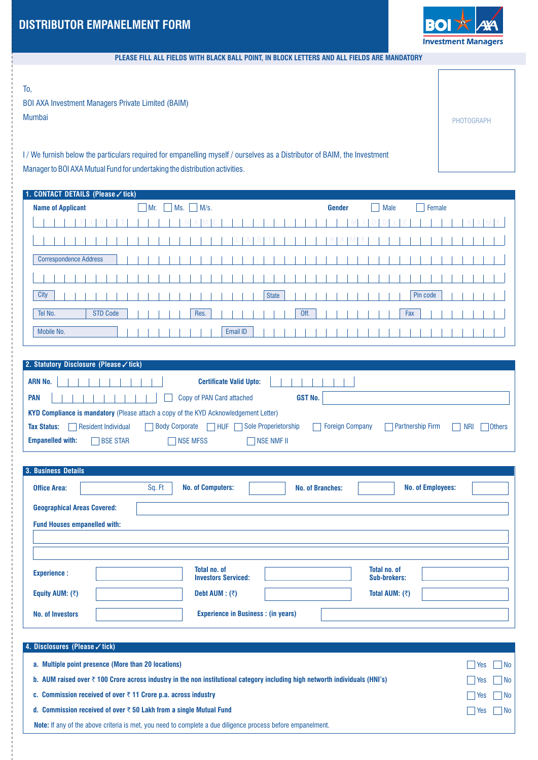

PHOTOGRAPH

## **PLEASE FILL ALL FIELDS WITH BLACK BALL POINT, IN BLOCK LETTERS AND ALL FIELDS ARE MANDATORY**

To,

BOI AXA Investment Managers Private Limited (BAIM) Mumbai

I/ We furnish below the particulars required for empanelling myself / ourselves as a Distributor of BAIM, the Investment Manager to BOI AXA Mutual Fund for undertaking the distribution activities.

| 1. CONTACT DETAILS (Please √ tick) |        |  |     |             |  |          |  |              |  |      |        |  |  |             |     |    |          |        |  |   |   |
|------------------------------------|--------|--|-----|-------------|--|----------|--|--------------|--|------|--------|--|--|-------------|-----|----|----------|--------|--|---|---|
| <b>Name of Applicant</b>           | $Mr$ . |  | Ms. | $\Box$ M/s. |  |          |  |              |  |      | Gender |  |  | <b>Male</b> |     | ×. |          | Female |  |   |   |
|                                    |        |  |     |             |  |          |  |              |  |      |        |  |  |             |     |    |          |        |  | M | E |
|                                    |        |  |     |             |  |          |  |              |  |      |        |  |  |             |     |    |          |        |  |   |   |
| <b>Correspondence Address</b>      |        |  |     |             |  |          |  |              |  |      |        |  |  |             |     |    |          |        |  |   |   |
|                                    |        |  |     |             |  |          |  |              |  |      |        |  |  |             |     |    |          |        |  |   |   |
| City                               |        |  |     |             |  |          |  | <b>State</b> |  |      |        |  |  |             |     |    | Pin code |        |  |   |   |
| <b>STD Code</b><br>Tel No.         |        |  |     | Res.        |  |          |  |              |  | Off. |        |  |  |             | Fax |    |          |        |  |   |   |
| Mobile No.                         |        |  |     |             |  | Email ID |  |              |  |      |        |  |  |             |     |    |          |        |  |   |   |

| <b>Partnership Firm</b><br>NRI<br>  Others |
|--------------------------------------------|
|                                            |
|                                            |

| 3. Business Details                 |                                                     |                                     |
|-------------------------------------|-----------------------------------------------------|-------------------------------------|
| Sq. Ft<br><b>Office Area:</b>       | <b>No. of Computers:</b><br><b>No. of Branches:</b> | <b>No. of Employees:</b>            |
| <b>Geographical Areas Covered:</b>  |                                                     |                                     |
| <b>Fund Houses empanelled with:</b> |                                                     |                                     |
|                                     |                                                     |                                     |
|                                     |                                                     |                                     |
| <b>Experience:</b>                  | <b>Total no. of</b><br><b>Investors Serviced:</b>   | Total no. of<br><b>Sub-brokers:</b> |
| Equity AUM: $($                     | Debt AUM : $($                                      | Total AUM: $($                      |
| <b>No. of Investors</b>             | <b>Experience in Business: (in years)</b>           |                                     |

| 4. Disclosures (Please √ tick)                                                                                                          |                      |                    |
|-----------------------------------------------------------------------------------------------------------------------------------------|----------------------|--------------------|
| a. Multiple point presence (More than 20 locations)                                                                                     | $\Box$ Yes           | $\Box$ No          |
| b. AUM raised over $\bar{\tau}$ 100 Crore across industry in the non institutional category including high networth individuals (HNI's) | Yes                  | $\Box$ No          |
| c. Commission received of over $\bar{\tau}$ 11 Crore p.a. across industry                                                               | $\Box$ Yes $\Box$ No |                    |
| d. Commission received of over $\bar{\tau}$ 50 Lakh from a single Mutual Fund                                                           | l l Yes              | $\vert$ $\vert$ No |
| <b>Note:</b> If any of the above criteria is met, you need to complete a due diligence process before empanelment.                      |                      |                    |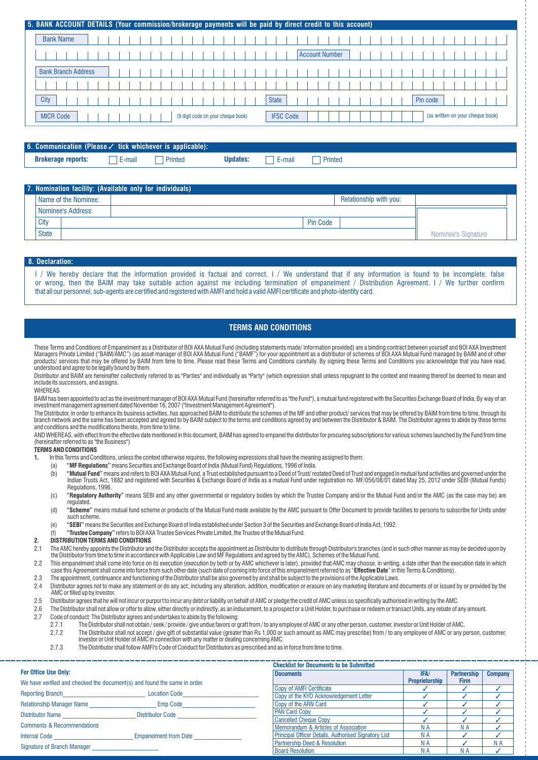|                            |  |  |                                    |                  | 5. BANK ACCOUNT DETAILS (Your commission/brokerage payments will be paid by direct credit to this account) |  |
|----------------------------|--|--|------------------------------------|------------------|------------------------------------------------------------------------------------------------------------|--|
| <b>Bank Name</b>           |  |  |                                    |                  |                                                                                                            |  |
|                            |  |  |                                    |                  | <b>Account Number</b>                                                                                      |  |
| <b>Bank Branch Address</b> |  |  |                                    |                  |                                                                                                            |  |
|                            |  |  |                                    |                  |                                                                                                            |  |
| City                       |  |  |                                    | <b>State</b>     | Pin code                                                                                                   |  |
| <b>MICR Code</b>           |  |  | (9 digit code on your cheque book) | <b>IFSC Code</b> | (as written on your cheque book)                                                                           |  |

| <b>6. Communication (Please</b> $\checkmark$ tick whichever is applicable): |        |         |          |        |         |  |
|-----------------------------------------------------------------------------|--------|---------|----------|--------|---------|--|
| <b>Brokerage reports:</b>                                                   | E-mail | Printed | Updates: | E-mail | Printed |  |

|              |                      | 7. Nomination facility: (Available only for individuals) |                     |
|--------------|----------------------|----------------------------------------------------------|---------------------|
|              | Name of the Nominee: | Relationship with you:                                   |                     |
|              | Nominee's Address:   |                                                          |                     |
| City         |                      | <b>Pin Code</b>                                          |                     |
| <b>State</b> |                      |                                                          | Nominee's Signature |

## **8. Declaration:**

I / We hereby declare that the information provided is factual and correct. I / We understand that if any information is found to be incomplete, false or wrong, then the BAIM may take suitable action against me including termination of empanelment / Distribution Agreement. I / We further confirm that all our personnel, sub-agents are certified and registered with AMFI and hold a valid AMFI certificate and photo-identity card.

## **TERMS AND CONDITIONS**

These Terms and Conditions of Empanelment as a Distributor of BOI AXA Mutual Fund (including statements made/ information provided) are a binding contract between yourself and BOI AXA Investment Managers Private Limited ("BAIM/AMC") (as asset manager of BOI AXA Mutual Fund ("BAMF") for your appointment as a distributor of schemes of BOI AXA Mutual Fund managed by BAIM and of other products/ services that may be offered by BAIM from time to time. Please read these Terms and Conditions carefully. By signing these Terms and Conditions you acknowledge that you have read, understood and agree to be legally bound by them.

Distributor and BAIM are hereinafter collectively referred to as "Parties" and individually as "Party" (which expression shall unless repugnant to the context and meaning thereof be deemed to mean and include its successors, and assigns.

## WHEREAS

BAIM has been appointed to act as the investment manager of BOI AXA Mutual Fund (hereinafter referred to as "the Fund"), a mutual fund registered with the Securities Exchange Board of India, By way of an investment management agreement dated November 16, 2007 ("Investment Management Agreement").

The Distributor, in order to enhance its business activities, has approached BAIM to distribute the schemes of the MF and other product/ services that may be offered by BAIM from time to time, through its branch network and the same has been accepted and agreed to by BAIM subject to the terms and conditions agreed by and between the Distributor & BAIM. The Distributor agrees to abide by these terms and conditions and the modifications thereto, from time to time.

AND WHEREAS, with effect from the effective date mentioned in this document, BAIM has agreed to empanel the distributor for procuring subscriptions for various schemes launched by the Fund from time (hereinafter referred to as "the Business")

## **TERMS AND CONDITIONS**

**1.** In this Terms and Conditions, unless the context otherwise requires, the following expressions shall have the meaning assigned to them:

- (a) **"MF Regulations"**means Securities and Exchange Board of India (Mutual Fund) Regulations, 1996 of India.
- (b) "Mutual Fund" means and refers to BOI AXA Mutual Fund, a Trust established pursuant to a Deed of Trust/ restated Deed of Trust and engaged in mutual fund activities and governed under the Indian Trusts Act, 1882 and registered with Securities & Exchange Board of India as a mutual Fund under registration no. MF/056/08/01 dated May 25, 2012 under SEBI (Mutual Funds) Regulations, 1996.
- (c) **"Regulatory Authority"** means SEBI and any other governmental or regulatory bodies by which the Trustee Company and/or the Mutual Fund and/or the AMC (as the case may be) are regulated.
- (d) **"Scheme"** means mutual fund scheme or products of the Mutual Fund made available by the AMC pursuant to Offer Document to provide facilities to persons to subscribe for Units under such scheme.
- (e) **"SEBI"**means the Securities and Exchange Board of India established under Section 3 of the Securities and Exchange Board of India Act, 1992.
- (f) **"Trustee Company"** refers to BOI AXA Trustee Services Private Limited, the Trustee of the Mutual Fund.

## **2. DISTRIBUTION TERMS AND CONDITIONS**

- 2.1 The AMC hereby appoints the Distributor and the Distributor accepts the appointment as Distributor to distribute through Distributor's branches (and in such other manner as may be decided upon by<br>the Distributor from
- 2.2 This empanelment shall come into force on its execution (execution by both or by AMC whichever is later), provided that AMC may choose, in writing, a date other than the execution date in which case this Agreement shall come into force from such other date (such date of coming into force of this empanelment referred to as "**Effective Date**" in this Terms & Conditions).
- 2.3 The appointment, continuance and functioning of the Distributor shall be also governed by and shall be subject to the provisions of the Applicable Laws.
- 2.4 Distributor agrees not to make any statement or do any act, including any alteration, addition, modification or erasure on any marketing literature and documents of or issued by or provided by the AMC or filled up by investor.
- 2.5 Distributor agrees that he will not incur or purport to incur any debt or liability on behalf of AMC or pledge the credit of AMC unless so specifically authorised in writing by the AMC.
- 2.6 The Distributor shall not allow or offer to allow, either directly or indirectly, as an inducement, to a prospect or a Unit Holder, to purchase or redeem or transact Units, any rebate of any amount. 2.7 Code of conduct: The Distributor agrees and undertakes to abide by the following:
	- 2.7.1 The Distributor shall not obtain / seek / provide / give undue favors or graft from / to any employee of AMC or any other person, customer, investor or Unit Holder of AMC.
	-
	- 2.7.2 The Distributor shall not accept / give gift of substantial value (greater than Rs 1,000 or such amount as AMC may prescribe) from / to any employee of AMC or any person, customer, investor or Unit Holder of AMC in connection with any matter or dealing concerning AMC.
	- 2.7.3 The Distributor shall follow AMFI's Code of Conduct for Distributors as prescribed and as in force from time to time.

|                                                                           |                              | <b>Checklist for Documents to be Submitted</b>       |                |                    |                |
|---------------------------------------------------------------------------|------------------------------|------------------------------------------------------|----------------|--------------------|----------------|
| <b>For Office Use Only:</b>                                               |                              | <b>Documents</b>                                     | <b>IFA</b>     | <b>Partnership</b> | <b>Company</b> |
| We have verified and checked the document(s) and found the same in order. |                              |                                                      | Proprietorship | <b>Firm</b>        |                |
|                                                                           |                              | <b>Copy of AMFI Certificate</b>                      |                |                    |                |
| <b>Reporting Branch</b>                                                   | <b>Location Code</b>         | Copy of the KYD Acknowledgement Letter               |                |                    |                |
| <b>Relationship Manager Name</b>                                          | Emp Code                     | Copy of the ARN Card                                 |                |                    |                |
| <b>Distributor Name</b>                                                   | <b>Distributor Code</b>      | <b>PAN Card Copy</b>                                 |                |                    |                |
|                                                                           |                              | <b>Cancelled Cheque Copy</b>                         |                |                    |                |
| <b>Comments &amp; Recommendations</b>                                     |                              | Memorandum & Articles of Association                 |                | N A                |                |
| <b>Internal Code</b>                                                      | <b>Empanelment from Date</b> | Principal Officer Details, Authorised Signatory List | N A            |                    |                |
| Signature of Branch Manager                                               |                              | <b>Partnership Deed &amp; Resolution</b>             | N A            |                    | N A            |
|                                                                           |                              | <b>Board Resolution</b>                              |                |                    |                |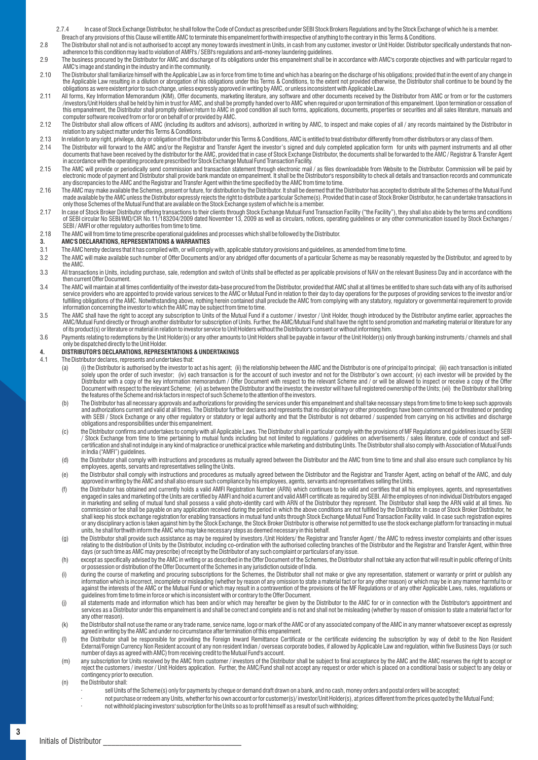- 2.7.4 In case of Stock Exchange Distributor, he shall follow the Code of Conduct as prescribed under SEBI Stock Brokers Regulations and by the Stock Exchange of which he is a member. Breach of any provisions of this Clause will entitle AMC to terminate this empanelment forthwith irrespective of anything to the contrary in this Terms & Conditions.
- 2.8 The Distributor shall not and is not authorised to accept any money towards investment in Units, in cash from any customer, investor or Unit Holder. Distributor specifically understands that non-<br>adherence to th
- 2.9 The business procured by the Distributor for AMC and discharge of its obligations under this empanelment shall be in accordance with AMC's corporate objectives and with particular regard to AMC's image and standing in the industry and in the community.
- 2.10 The Distributor shall familiarize himself with the Applicable Law as in force from time to time and which has a bearing on the discharge of his obligations; provided that in the event of any change in<br>the Applicable L obligations as were existent prior to such change, unless expressly approved in writing by AMC, or unless inconsistent with Applicable Law.
- 2.11 All forms, Key Information Memorandum (KIM), Offer documents, marketing literature, any software and other documents received by the Distributor from AMC or from or for the customers /investors/Unit Holders shall be held by him in trust for AMC, and shall be promptly handed over to AMC when required or upon termination of this empanelment. Upon termination or cessation of<br>this empanelment, the Distribu computer software received from or for or on behalf of or provided by AMC.
- 2.12 The Distributor shall allow officers of AMC (including its auditors and advisors), authorized in writing by AMC, to inspect and make copies of all / any records maintained by the Distributor in relation to any subject matter under this Terms & Conditions.
- 2.13 In relation to any right, privilege, duty or obligation of the Distributor under this Terms & Conditions, AMC is entitled to treat distributor differently from other distributors or any class of them.
- 2.14 The Distributor will forward to the AMC and/or the Registrar and Transfer Agent the investor's signed and duly completed application form for units with payment instruments and all other documents that have been received by the distributor for the AMC, provided that in case of Stock Exchange Distributor, the documents shall be forwarded to the AMC / Registrar & Transfer Agent in accordance with the operating procedure prescribed for Stock Exchange Mutual Fund Transaction Facility.
- 2.15 The AMC will provide or periodically send commission and transaction statement through electronic mail / as files downloadable from Website to the Distributor. Commission will be paid by<br>electronic mode of payment and any discrepancies to the AMC and the Registrar and Transfer Agent within the time specified by the AMC from time to time.
- 2.16 The AMC may make available the Schemes, present or future, for distribution by the Distributor. It shall be deemed that the Distributor has accepted to distribute all the Schemes of the Mutual Fund made available by the AMC unless the Distributor expressly rejects the right to distribute a particular Scheme(s). Provided that in case of Stock Broker Distributor, he can undertake transactions in only those Schemes of the Mutual Fund that are available on the Stock Exchange system of which he is a member.
- / In case of Stock Broker Distributor offering transactions to their clients through Stock Exchange Mutual Fund Transaction Facility ("the Facility"), they shall also abide by the terms and conditions of SEBI circular No S SEBI/AMFI or other regulatory authorities from time to time.
- 2.18 The AMC will from time to time prescribe operational guidelines and processes which shall be followed by the Distributor.

# **3. AMC'S DECLARATIONS, REPRESENTATIONS & WARRANTIES**<br>3.1 The AMC bereby declares that it has complied with or will compl

- The AMC hereby declares that it has complied with, or will comply with, applicable statutory provisions and guidelines, as amended from time to time.
- 3.2 The AMC will make available such number of Offer Documents and/or any abridged offer documents of a particular Scheme as may be reasonably requested by the Distributor, and agreed to by the AMC.
- 3.3 All transactions in Units, including purchase, sale, redemption and switch of Units shall be effected as per applicable provisions of NAV on the relevant Business Day and in accordance with the then current Offer Document.
- 3.4 The AMC will maintain at all times confidentiality of the investor data-base procured from the Distributor, provided that AMC shall at all times be entitled to share such data with any of its authorised<br>service provide fulfilling obligations of the AMC. Notwithstanding above, nothing herein contained shall preclude the AMC from complying with any statutory, regulatory or governmental requirement to provide information concerning the investor to which the AMC may be subject from time to time.
- 3.5 The AMC shall have the right to accept any subscription to Units of the Mutual Fund if a customer / investor / Unit Holder, though introduced by the Distributor anytime earlier, approaches the<br>AMC/Mutual Fund directly of its product(s) or literature or material in relation to investor service to Unit Holders without the Distributor's consent or without informing him.
- 3.6 Payments relating to redemptions by the Unit Holder(s) or any other amounts to Unit Holders shall be payable in favour of the Unit Holder(s) only through banking instruments / channels and shall only be dispatched directly to the Unit Holder.

# **4. DISTRIBUTOR'S DECLARATIONS, REPRESENTATIONS & UNDERTAKINGS**

- The Distributor declares, represents and undertakes that:
	- (a) (i) the Distributor is authorised by the investor to act as his agent; (ii) the relationship between the AMC and the Distributor is one of principal to principal; (iii) each transaction is initiated (a) each transectio Distributor with a copy of the key information memorandum / Offer Document with respect to the relevant Scheme and / or will be allowed to inspect or receive a copy of the Offer<br>Document with respect to the relevant Scheme the features of the Scheme and risk factors in respect of such Scheme to the attention of the investors.
	- (b) The Distributor has all necessary approvals and authorizations for providing the services under this empanelment and shall take necessary steps from time to time to keep such approvals and authorizations current and valid at all times. The Distributor further declares and represents that no disciplinary or other proceedings have been commenced or threatened or pending with SEBI / Stock Exchange or any other regulatory or statutory or legal authority and that the Distributor is not debarred / suspended from carrying on his activities and discharge<br>obligations and responsibilities under t
	- (c) the Distributor confirms and undertakes to comply with all Applicable Laws. The Distributor shall in particular comply with the provisions of MF Regulations and guidelines issued by SEBI / Stock Exchange from time to time pertaining to mutual funds including but not limited to regulations / guidelines on advertisements / sales literature, code of conduct and selfcertification and shall not indulge in any kind of malpractice or unethical practice while marketing and distributing Units. The Distributor shall also comply with Association of Mutual Funds in India ("AMFI") guidelines.
	- (d) the Distributor shall comply with instructions and procedures as mutually agreed between the Distributor and the AMC from time to time and shall also ensure such compliance by his<br>employees, agents, servants and repres
	- (e) the Distributor shall comply with instructions and procedures as mutually agreed between the Distributor and the Registrar and Transfer Agent, acting on behalf of the AMC, and duly<br>approved in writing by the AMC and sh
	- (f) the Distributor has obtained and currently holds a valid AMFI Registration Number (ARN) which continues to be valid and certifies that all his employees, agents, and representatives engaged in sales and marketing of the Units are certified by AMFI and hold a current and valid AMFI certificate as required by SEBI. All the employees of non individual Distributors engaged in marketing and selling of mutual fund shall possess a valid photo-identity card with ARN of the Distributor they represent. The Distributor shall keep the ARN valid at all times. No<br>commission or fee shall be payable on shall keep his stock exchange registration for enabling transactions in mutual fund units through Stock Exchange Mutual Fund Transaction Facility valid. In case such registration expires or any disciplinary action is taken against him by the Stock Exchange, the Stock Broker Distributor is otherwise not permitted to use the stock exchange platform for transacting in mutual<br>units, he shall forthwith inform t
	- (g) the Distributor shall provide such assistance as may be required by investors /Unit Holders/ the Registrar and Transfer Agent / the AMC to redress investor complaints and other issues<br>relating to the distribution of Un days (or such time as AMC may prescribe) of receipt by the Distributor of any such complaint or particulars of any issue.
	- (h) except as specifically advised by the AMC in writing or as described in the Offer Document of the Schemes, the Distributor shall not take any action that will result in public offering of Units or possession or distribution of the Offer Document of the Schemes in any jurisdiction outside of India.
	- (i) during the course of marketing and procuring subscriptions for the Schemes, the Distributor shall not make or give any representation, statement or warranty or print or publish any information which is incorrect, incomplete or misleading (whether by reason of any omission to state a material fact or for any other reason) or which may be in any manner harmful to or<br>against the interests of the AMC or guidelines from time to time in force or which is inconsistent with or contrary to the Offer Document.
	- (i) all statements made and information which has been and/or which may hereafter be given by the Distributor to the AMC for or in connection with the Distributor's appointment and services as a Distributor under this empanelment is and shall be correct and complete and is not and shall not be misleading (whether by reason of omission to state a material fact or for any other reason).
	- (k) the Distributor shall not use the name or any trade name, service name, logo or mark of the AMC or of any associated company of the AMC in any manner whatsoever except as expressly agreed in writing by the AMC and under no circumstance after termination of this empanelment.
	- (i) the Distributor shall be responsible for providing the Foreign Inward Remittance Certificate or the certificate evidencing the subscription by way of debit to the Non Resident External/Foreign Currency Non Resident account of any non resident Indian / overseas corporate bodies, if allowed by Applicable Law and regulation, within five Business Days (or such number of days as agreed with AMC) from receiving credit to the Mutual Fund's account.
	- (m) any subscription for Units received by the AMC from customer / investors of the Distributor shall be subject to final acceptance by the AMC and the AMC reserves the right to accept or reject the customers / investor / Unit Holders application. Further, the AMC/Fund shall not accept any request or order which is placed on a conditional basis or subject to any delay or contingency prior to execution.
	- (n) the Distributor shall:
		- · sell Units of the Scheme(s) only for payments by cheque or demand draft drawn on a bank, and no cash, money orders and postal orders will be accepted;
		- · not purchase or redeem any Units, whether for his own account or for customer(s)/ investor/Unit Holder(s), at prices different from the prices quoted by the Mutual Fund; · not withhold placing investors' subscription for the Units so as to profit himself as a result of such withholding;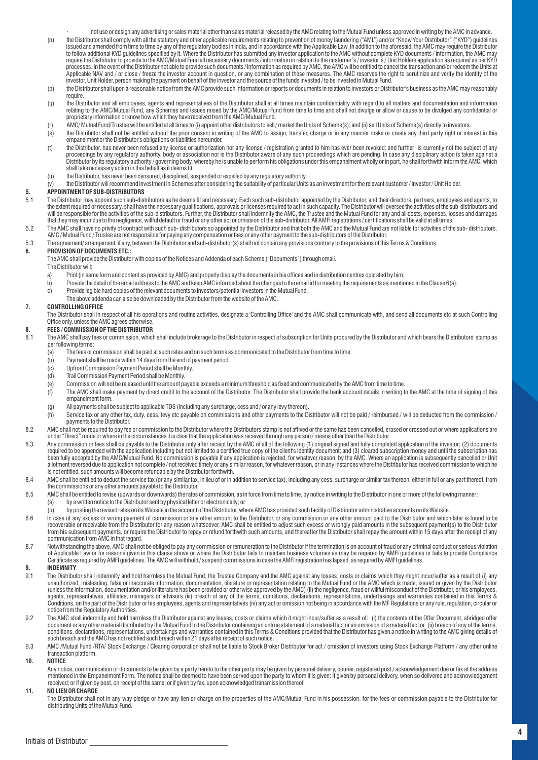· not use or design any advertising or sales material other than sales material released by the AMC relating to the Mutual Fund unless approved in writing by the AMC in advance.

- o) the Distributor shall comply with all the statutory and other applicable requirements relating to prevention of money laundering ("AML") and/or "Know Your Distributor" ("KYD") guidelines<br>issued and amended from time to to follow additional KYD guidelines specified by it. Where the Distributor has submitted any investor application to the AMC without complete KYD documents / information, the AMC may require the Distributor to provide to the AMC/Mutual Fund all necessary documents / information in relation to the customer's / investor's / Unit Holders application as required as per KYD processes. In the event of the Distributor not able to provide such documents/information as required by AMC, the AMC will be entitled to cancel the transaction and/or redeem the Units at<br>Applicable NAV and / or close / fr investor, Unit Holder, person making the payment on behalf of the investor and the source of the funds invested / to be invested in Mutual Fund.
- (p) the Distributor shall upon a reasonable notice from the AMC provide such information or reports or documents in relation to investors or Distributor's business as the AMC may reasonably require.
- (q) the Distributor and all employees, agents and representatives of the Distributor shall at all times maintain confidentiality with regard to all matters and documentation and information<br>relating to the AMC/Mutual Fund,
- (r) AMC/ Mutual Fund/Trustee will be entitled at all times to (i) appoint other distributors to sell / market the Units of Scheme(s); and (ii) sell Units of Scheme(s) directly to investors.
- (s) the Distributor shall not be entitled without the prior consent in writing of the AMC to assign, transfer, charge or in any manner make or create any third party right or interest in this<br>empanelment or the Distributor
- (t) the Distributor, has never been refused any license or authorization nor any license / registration granted to him has ever been revoked; and further  $\,$ is currently not the subject of any ister of any license or auth Distributor by its regulatory authority / governing body, whereby he is unable to perform his obligations under this empanelment wholly or in part, he shall forthwith inform the AMC, which shall take necessary action in this behalf as it deems fit.
- (u) the Distributor, has never been censured, disciplined, suspended or expelled by any regulatory authority.
- (v) the Distributor will recommend investment in Schemes after considering the suitability of particular Units as an investment for the relevant customer / investor / Unit Holder.

## **5. APPOINTMENT OF SUB-DISTRIBUTORS**

- 5.1 The Distributor may appoint such sub-distributors as he deems fit and necessary. Each such sub-distributor appointed by the Distributor, and their directors, partners, employees and agents, to the extent required or necessary, shall have the necessary qualifications, approvals or licenses required to act in such capacity. The Distributorc will oversee the activities of the sub-distributors and<br>will be responsibl
- 5.2 The AMC shall have no privity of contract with such sub- distributors so appointed by the Distributor and that both the AMC and the Mutual Fund are not liable for activities of the sub- distributors. AMC / Mutual Fund / Trustee are not responsible for paying any compensation or fees or any other payment to the sub-distributors of the Distributor.
- 5.3 The agreement/ arrangement, if any, between the Distributor and sub-distributor(s) shall not contain any provisions contrary to the provisions of this Terms & Conditions.

## **6. PROVISION OF DOCUMENTS ETC.:**

The AMC shall provide the Distributor with copies of the Notices and Addenda of each Scheme ("Documents") through email.

- The Distributor will:
- a) Print (in same form and content as provided by AMC) and properly display the documents in his offices and in distribution centres operated by him;
- b) Provide the detail of the email address to the AMC and keep AMC informed about the changes to the email id for meeting the requirements as mentioned in the Clause 6(a);
- c) Provide legible hard copies of the relevant documents to investors/potential investors in the Mutual Fund.
- The above addenda can also be downloaded by the Distributor from the website of the AMC.

## **7. CONTROLLING OFFICE**

The Distributor shall in respect of all his operations and routine activities, designate a 'Controlling Office' and the AMC shall communicate with, and send all documents etc at such Controlling Office only, unless the AMC agrees otherwise.

## **8. FEES / COMMISSION OF THE DISTRIBUTOR**

- 8.1 The AMC shall pay fees or commission, which shall include brokerage to the Distributor in respect of subscription for Units procured by the Distributor and which bears the Distributors' stamp as per following terms:
	- (a) The fees or commission shall be paid at such rates and on such terms as communicated to the Distributor from time to time.
	- $\begin{pmatrix} b \end{pmatrix}$  Payment shall be made within 14 days from the end of payment period.<br>  $\begin{pmatrix} c \end{pmatrix}$  Upfront Commission Payment Period shall be Monthly.
	- Upfront Commission Payment Period shall be Monthly.
	- (d) Trail Commission Payment Period shall be Monthly.
	- (e) Commission will not be released until the amount payable exceeds a minimum threshold as fixed and communicated by the AMC from time to time.
	- (f) The AMC shall make payment by direct credit to the account of the Distributor. The Distributor shall provide the bank account details in writing to the AMC at the time of signing of this empanelment form.
	- (g) All payments shall be subject to applicable TDS (including any surcharge, cess and / or any levy thereon).
	- (h) Service tax or any other tax, duty, cess, levy etc payable on commissions and other payments to the Distributor will not be paid / reimbursed / will be deducted from the commission / payments to the Distributor.
- 8.2 AMC shall not be required to pay fee or commission to the Distributor where the Distributors stamp is not affixed or the same has been cancelled, erased or crossed out or where applications are<br>under "Direct" mode or w
- 8.3 Any commission or fees shall be payable to the Distributor only after receipt by the AMC of all of the following (1) original signed and fully completed application of the investor; (2) documents<br>required to be appende allotment reversed due to application not complete / not received timely or any similar reason, for whatever reason, or in any instances where the Distributor has received commission to which he is not entitled, such amounts will become refundable by the Distributor forthwith.
- 8.4 AMC shall be entitled to deduct the service tax (or any similar tax, in lieu of or in addition to service tax), including any cess, surcharge or similar tax thereon, either in full or any part thereof, from the commissions or any other amounts payable to the Distributor.
- 8.5 AMC shall be entitled to revise (upwards or downwards) the rates of commission, as in force from time to time, by notice in writing to the Distributor in one or more of the following manner:
	- (a) by a written notice to the Distributor sent by physical letter or electronically; or
	- (b) by posting the revised rates on its Website in the account of the Distributor, where AMC has provided such facility of Distributor administrative accounts on its Website.
- 8.6 In case of any excess or wrong payment of commission or any other amount to the Distributor, or any commission or any other amount paid to the Distributor and which later is found to be<br>recoverable or receivable from t from his subsequent payments, or require the Distributor to repay or refund forthwith such amounts, and thereafter the Distributor shall repay the amount within 15 days after the receipt of any communication from AMC in that regard.
- 8.7 Notwithstanding the above, AMC shall not be obliged to pay any commission or remuneration to the Distributor if the termination is on account of fraud or any criminal conduct or serious violation of Applicable Law or for reasons given in this clause above or where the Distributor fails to maintain business volumes as may be required by AMFI guidelines or fails to provide Compliance<br>Certificate as required by AMFI g

#### **9. INDEMNITY**

- 9.1 The Distributor shall indemnify and hold harmless the Mutual Fund, the Trustee Company and the AMC against any losses, costs or claims which they might incur/suffer as a result of (i) any<br>unauthorized, misleading, fals (unless the information, documentation and/or literature has been provided or otherwise approved by the AMC) (ii) the negligence, fraud or willful misconduct of the Distributor, or his employees, agents, representatives, affiliates, managers or advisors (iii) breach of any of the terms, conditions, declarations, representations, undertakings and warranties contained in this Terms &<br>Conditions, on the part of the Di notice from the Regulatory Authorities.
- 9.2 The AMC shall indemnify and hold harmless the Distributor against any losses, costs or claims which it might incur/suffer as a result of: (i) the contents of the Offer Document, abridged offer document or any other material distributed by the Mutual Fund to the Distributor containing an untrue statement of a material fact or an omission of a material fact or (ii) breach of any of the terms,<br>conditions, declarati such breach and the AMC has not rectified such breach within 21 days after receipt of such notice.
- 9.3 AMC /Mutual Fund /RTA/ Stock Exchange / Clearing corporation shall not be liable to Stock Broker Distributor for act / omission of investors using Stock Exchange Platform / any other online transaction platform.

#### **10. NOTICE**

Any notice, communication or documents to be given by a party hereto to the other party may be given by personal delivery, courier, registered post / acknowledgement due or fax at the address  $m$  mentioned in the Empanelment Form. The notice shall be deemed to have been served upon the party to whom it is given: if given by personal delivery, when so delivered and acknowledgement received; or if given by post, on receipt of the same; or if given by fax, upon acknowledged transmission thereof.

#### **11. NO LIEN OR CHARGE**

The Distributor shall not in any way pledge or have any lien or charge on the properties of the AMC/Mutual Fund in his possession, for the fees or commission payable to the Distributor for distributing Units of the Mutual Fund.